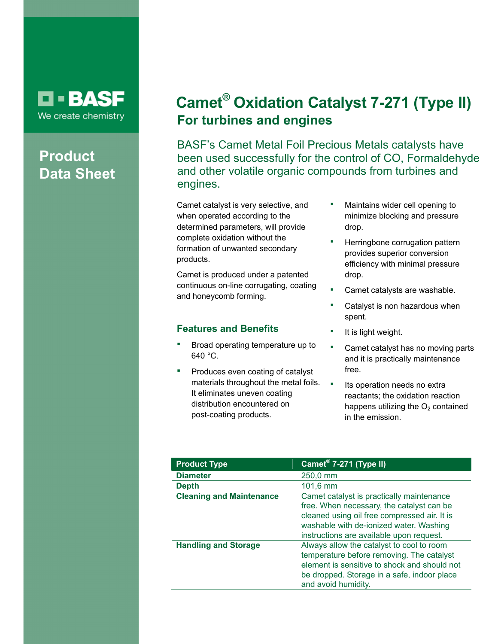

# **Product Data Sheet**

# **Camet® Oxidation Catalyst 7-271 (Type II) For turbines and engines**

BASF's Camet Metal Foil Precious Metals catalysts have been used successfully for the control of CO, Formaldehyde and other volatile organic compounds from turbines and engines.

Camet catalyst is very selective, and when operated according to the determined parameters, will provide complete oxidation without the formation of unwanted secondary products.

Camet is produced under a patented continuous on-line corrugating, coating and honeycomb forming.

## **Features and Benefits**

- Broad operating temperature up to 640 °C.
- Produces even coating of catalyst materials throughout the metal foils. It eliminates uneven coating distribution encountered on post-coating products.
- **Maintains wider cell opening to** minimize blocking and pressure drop.
- Herringbone corrugation pattern provides superior conversion efficiency with minimal pressure drop.
- Camet catalysts are washable.
- Catalyst is non hazardous when spent.
- It is light weight.
- Camet catalyst has no moving parts and it is practically maintenance free.
- **Its operation needs no extral** reactants; the oxidation reaction happens utilizing the  $O<sub>2</sub>$  contained in the emission.

| <b>Product Type</b>             | Camet <sup>®</sup> 7-271 (Type II)                                                                                                                                                                                            |
|---------------------------------|-------------------------------------------------------------------------------------------------------------------------------------------------------------------------------------------------------------------------------|
| <b>Diameter</b>                 | 250,0 mm                                                                                                                                                                                                                      |
| <b>Depth</b>                    | $101,6 \, \text{mm}$                                                                                                                                                                                                          |
| <b>Cleaning and Maintenance</b> | Camet catalyst is practically maintenance<br>free. When necessary, the catalyst can be<br>cleaned using oil free compressed air. It is<br>washable with de-ionized water. Washing<br>instructions are available upon request. |
| <b>Handling and Storage</b>     | Always allow the catalyst to cool to room<br>temperature before removing. The catalyst<br>element is sensitive to shock and should not<br>be dropped. Storage in a safe, indoor place<br>and avoid humidity.                  |